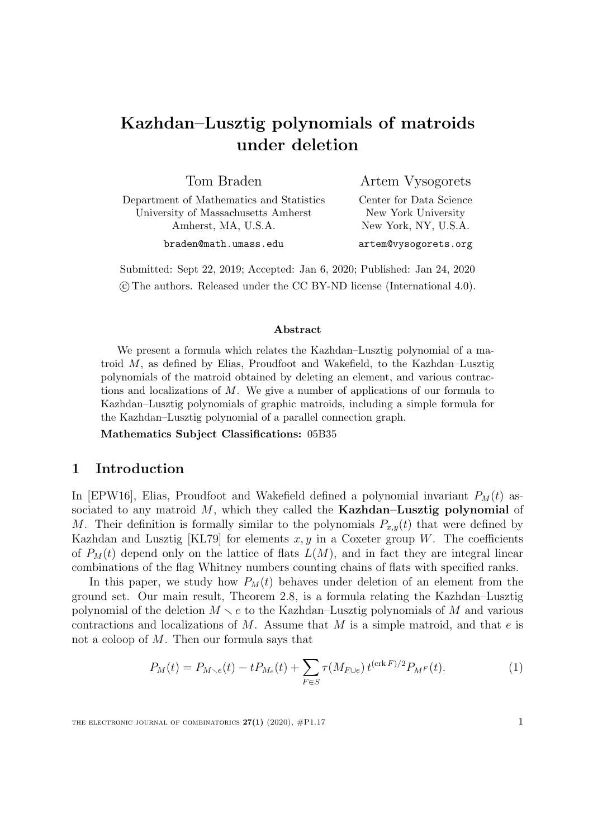# Kazhdan–Lusztig polynomials of matroids under deletion

Tom Braden Department of Mathematics and Statistics University of Massachusetts Amherst Amherst, MA, U.S.A.

Artem Vysogorets Center for Data Science New York University New York, NY, U.S.A.

braden@math.umass.edu

artem@vysogorets.org

Submitted: Sept 22, 2019; Accepted: Jan 6, 2020; Published: Jan 24, 2020 c The authors. Released under the CC BY-ND license (International 4.0).

#### Abstract

We present a formula which relates the Kazhdan–Lusztig polynomial of a matroid M, as defined by Elias, Proudfoot and Wakefield, to the Kazhdan–Lusztig polynomials of the matroid obtained by deleting an element, and various contractions and localizations of  $M$ . We give a number of applications of our formula to Kazhdan–Lusztig polynomials of graphic matroids, including a simple formula for the Kazhdan–Lusztig polynomial of a parallel connection graph.

Mathematics Subject Classifications: 05B35

# 1 Introduction

In [\[EPW16\]](#page-15-0), Elias, Proudfoot and Wakefield defined a polynomial invariant  $P_M(t)$  associated to any matroid  $M$ , which they called the **Kazhdan–Lusztig polynomial** of M. Their definition is formally similar to the polynomials  $P_{x,y}(t)$  that were defined by Kazhdan and Lusztig [\[KL79\]](#page-16-0) for elements  $x, y$  in a Coxeter group W. The coefficients of  $P_M(t)$  depend only on the lattice of flats  $L(M)$ , and in fact they are integral linear combinations of the flag Whitney numbers counting chains of flats with specified ranks.

In this paper, we study how  $P_M(t)$  behaves under deletion of an element from the ground set. Our main result, Theorem [2.8,](#page-5-0) is a formula relating the Kazhdan–Lusztig polynomial of the deletion  $M \setminus e$  to the Kazhdan–Lusztig polynomials of M and various contractions and localizations of  $M$ . Assume that  $M$  is a simple matroid, and that  $e$  is not a coloop of M. Then our formula says that

<span id="page-0-0"></span>
$$
P_M(t) = P_{M \sim e}(t) - t P_{M_e}(t) + \sum_{F \in S} \tau(M_{F \cup e}) t^{(\text{crk } F)/2} P_{M^F}(t).
$$
 (1)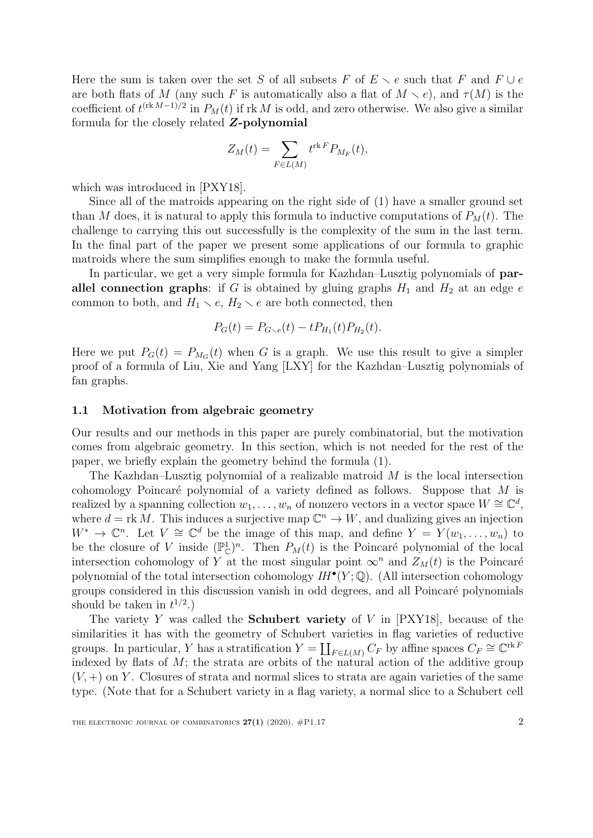Here the sum is taken over the set S of all subsets F of  $E \setminus e$  such that F and  $F \cup e$ are both flats of M (any such F is automatically also a flat of  $M \setminus e$ ), and  $\tau(M)$  is the coefficient of  $t^{(\text{rk }M-1)/2}$  in  $P_M(t)$  if  $\text{rk }M$  is odd, and zero otherwise. We also give a similar formula for the closely related Z-polynomial

$$
Z_M(t) = \sum_{F \in L(M)} t^{\text{rk } F} P_{M_F}(t),
$$

which was introduced in [\[PXY18\]](#page-16-1).

Since all of the matroids appearing on the right side of [\(1\)](#page-0-0) have a smaller ground set than M does, it is natural to apply this formula to inductive computations of  $P_M(t)$ . The challenge to carrying this out successfully is the complexity of the sum in the last term. In the final part of the paper we present some applications of our formula to graphic matroids where the sum simplifies enough to make the formula useful.

In particular, we get a very simple formula for Kazhdan–Lusztig polynomials of parallel connection graphs: if G is obtained by gluing graphs  $H_1$  and  $H_2$  at an edge  $e$ common to both, and  $H_1 \setminus e$ ,  $H_2 \setminus e$  are both connected, then

$$
P_G(t) = P_{G \setminus e}(t) - t P_{H_1}(t) P_{H_2}(t).
$$

Here we put  $P_G(t) = P_{M_G}(t)$  when G is a graph. We use this result to give a simpler proof of a formula of Liu, Xie and Yang [\[LXY\]](#page-16-2) for the Kazhdan–Lusztig polynomials of fan graphs.

## 1.1 Motivation from algebraic geometry

Our results and our methods in this paper are purely combinatorial, but the motivation comes from algebraic geometry. In this section, which is not needed for the rest of the paper, we briefly explain the geometry behind the formula [\(1\)](#page-0-0).

The Kazhdan–Lusztig polynomial of a realizable matroid  $M$  is the local intersection cohomology Poincaré polynomial of a variety defined as follows. Suppose that  $M$  is realized by a spanning collection  $w_1, \ldots, w_n$  of nonzero vectors in a vector space  $W \cong \mathbb{C}^d$ , where  $d = \text{rk } M$ . This induces a surjective map  $\mathbb{C}^n \to W$ , and dualizing gives an injection  $W^* \to \mathbb{C}^n$ . Let  $V \cong \mathbb{C}^d$  be the image of this map, and define  $Y = Y(w_1, \ldots, w_n)$  to be the closure of V inside  $(\mathbb{P}_{\mathbb{C}}^1)^n$ . Then  $P_M(t)$  is the Poincaré polynomial of the local intersection cohomology of Y at the most singular point  $\infty^n$  and  $Z_M(t)$  is the Poincaré polynomial of the total intersection cohomology  $IH^{\bullet}(Y; \mathbb{Q})$ . (All intersection cohomology groups considered in this discussion vanish in odd degrees, and all Poincar´e polynomials should be taken in  $t^{1/2}$ .)

The variety Y was called the **Schubert variety** of V in  $[PXY18]$ , because of the similarities it has with the geometry of Schubert varieties in flag varieties of reductive groups. In particular, Y has a stratification  $Y = \coprod_{F \in L(M)} C_F$  by affine spaces  $C_F \cong \mathbb{C}^{\text{rk }F}$ indexed by flats of  $M$ ; the strata are orbits of the natural action of the additive group  $(V, +)$  on Y. Closures of strata and normal slices to strata are again varieties of the same type. (Note that for a Schubert variety in a flag variety, a normal slice to a Schubert cell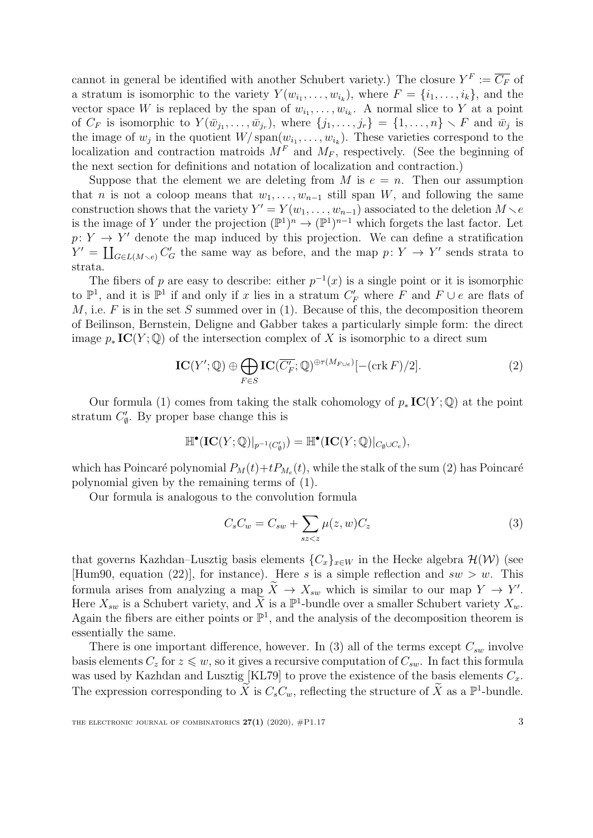cannot in general be identified with another Schubert variety.) The closure  $Y^F := \overline{C_F}$  of a stratum is isomorphic to the variety  $Y(w_{i_1}, \ldots, w_{i_k})$ , where  $F = \{i_1, \ldots, i_k\}$ , and the vector space W is replaced by the span of  $w_{i_1}, \ldots, w_{i_k}$ . A normal slice to Y at a point of  $C_F$  is isomorphic to  $Y(\bar{w}_{j_1},\ldots,\bar{w}_{j_r}),$  where  $\{j_1,\ldots,j_r\} = \{1,\ldots,n\} \setminus F$  and  $\bar{w}_j$  is the image of  $w_j$  in the quotient  $W/\text{span}(w_{i_1}, \ldots, w_{i_k})$ . These varieties correspond to the localization and contraction matroids  $M<sup>F</sup>$  and  $M<sub>F</sub>$ , respectively. (See the beginning of the next section for definitions and notation of localization and contraction.)

Suppose that the element we are deleting from M is  $e = n$ . Then our assumption that *n* is not a coloop means that  $w_1, \ldots, w_{n-1}$  still span W, and following the same construction shows that the variety  $Y' = Y(w_1, \ldots, w_{n-1})$  associated to the deletion  $M \setminus e$ is the image of Y under the projection  $(\mathbb{P}^1)^n \to (\mathbb{P}^1)^{n-1}$  which forgets the last factor. Let  $p: Y \to Y'$  denote the map induced by this projection. We can define a stratification  $Y' = \coprod_{G \in L(M \setminus e)} C_G'$  the same way as before, and the map  $p: Y \to Y'$  sends strata to strata.

The fibers of p are easy to describe: either  $p^{-1}(x)$  is a single point or it is isomorphic to  $\mathbb{P}^1$ , and it is  $\mathbb{P}^1$  if and only if x lies in a stratum  $C_F'$  where F and  $F \cup e$  are flats of M, i.e.  $F$  is in the set S summed over in [\(1\)](#page-0-0). Because of this, the decomposition theorem of Beilinson, Bernstein, Deligne and Gabber takes a particularly simple form: the direct image  $p_*\mathbf{IC}(Y; \mathbb{Q})$  of the intersection complex of X is isomorphic to a direct sum

<span id="page-2-0"></span>
$$
IC(Y'; \mathbb{Q}) \oplus \bigoplus_{F \in S} IC(\overline{C'_F}; \mathbb{Q})^{\oplus \tau(M_{F \cup e})}[-(\text{crk } F)/2]. \tag{2}
$$

Our formula [\(1\)](#page-0-0) comes from taking the stalk cohomology of  $p_*\mathbf{IC}(Y;\mathbb{Q})$  at the point stratum  $C'_{\emptyset}$ . By proper base change this is

$$
\mathbb{H}^\bullet(\mathbf{IC}(Y;\mathbb{Q})|_{p^{-1}(C_0'}))=\mathbb{H}^\bullet(\mathbf{IC}(Y;\mathbb{Q})|_{C_0\cup C_e}),
$$

which has Poincaré polynomial  $P_M(t)+tP_{M_e}(t)$ , while the stalk of the sum [\(2\)](#page-2-0) has Poincaré polynomial given by the remaining terms of [\(1\)](#page-0-0).

Our formula is analogous to the convolution formula

<span id="page-2-1"></span>
$$
C_s C_w = C_{sw} + \sum_{sz < z} \mu(z, w) C_z \tag{3}
$$

that governs Kazhdan–Lusztig basis elements  ${C_x}_{x \in W}$  in the Hecke algebra  $\mathcal{H}(W)$  (see [\[Hum90,](#page-16-3) equation (22)], for instance). Here s is a simple reflection and  $sw > w$ . This formula arises from analyzing a map  $\tilde{X} \to X_{sw}$  which is similar to our map  $Y \to Y'$ . Here  $X_{sw}$  is a Schubert variety, and  $\widetilde{X}$  is a  $\mathbb{P}^1$ -bundle over a smaller Schubert variety  $X_w$ . Again the fibers are either points or  $\mathbb{P}^1$ , and the analysis of the decomposition theorem is essentially the same.

There is one important difference, however. In [\(3\)](#page-2-1) all of the terms except  $C_{sw}$  involve basis elements  $C_z$  for  $z \leq w$ , so it gives a recursive computation of  $C_{sw}$ . In fact this formula was used by Kazhdan and Lusztig [\[KL79\]](#page-16-0) to prove the existence of the basis elements  $C_x$ . The expression corresponding to  $\widetilde{X}$  is  $C_sC_w$ , reflecting the structure of  $\widetilde{X}$  as a  $\mathbb{P}^1$ -bundle.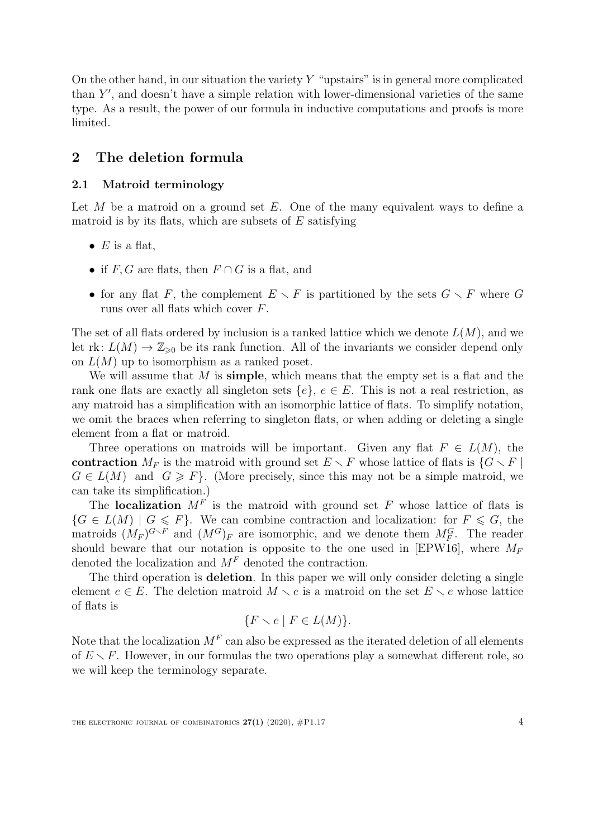On the other hand, in our situation the variety  $Y$  "upstairs" is in general more complicated than  $Y'$ , and doesn't have a simple relation with lower-dimensional varieties of the same type. As a result, the power of our formula in inductive computations and proofs is more limited.

# 2 The deletion formula

# 2.1 Matroid terminology

Let  $M$  be a matroid on a ground set  $E$ . One of the many equivalent ways to define a matroid is by its flats, which are subsets of  $E$  satisfying

- $E$  is a flat,
- if  $F, G$  are flats, then  $F \cap G$  is a flat, and
- for any flat F, the complement  $E \setminus F$  is partitioned by the sets  $G \setminus F$  where G runs over all flats which cover F.

The set of all flats ordered by inclusion is a ranked lattice which we denote  $L(M)$ , and we let rk:  $L(M) \to \mathbb{Z}_{\geq 0}$  be its rank function. All of the invariants we consider depend only on  $L(M)$  up to isomorphism as a ranked poset.

We will assume that  $M$  is simple, which means that the empty set is a flat and the rank one flats are exactly all singleton sets  $\{e\}, e \in E$ . This is not a real restriction, as any matroid has a simplification with an isomorphic lattice of flats. To simplify notation, we omit the braces when referring to singleton flats, or when adding or deleting a single element from a flat or matroid.

Three operations on matroids will be important. Given any flat  $F \in L(M)$ , the contraction  $M_F$  is the matroid with ground set  $E \setminus F$  whose lattice of flats is  $\{G \setminus F\}$  $G \in L(M)$  and  $G \geq F$ . (More precisely, since this may not be a simple matroid, we can take its simplification.)

The localization  $M<sup>F</sup>$  is the matroid with ground set F whose lattice of flats is  ${G \in L(M) \mid G \leq F}$ . We can combine contraction and localization: for  $F \leq G$ , the matroids  $(M_F)^{G \setminus F}$  and  $(M^G)_F$  are isomorphic, and we denote them  $M_F^G$ . The reader should beware that our notation is opposite to the one used in [\[EPW16\]](#page-15-0), where  $M_F$ denoted the localization and  $M<sup>F</sup>$  denoted the contraction.

The third operation is **deletion**. In this paper we will only consider deleting a single element  $e \in E$ . The deletion matroid  $M \setminus e$  is a matroid on the set  $E \setminus e$  whose lattice of flats is

$$
\{F \smallsetminus e \mid F \in L(M)\}.
$$

Note that the localization  $M^F$  can also be expressed as the iterated deletion of all elements of  $E \setminus F$ . However, in our formulas the two operations play a somewhat different role, so we will keep the terminology separate.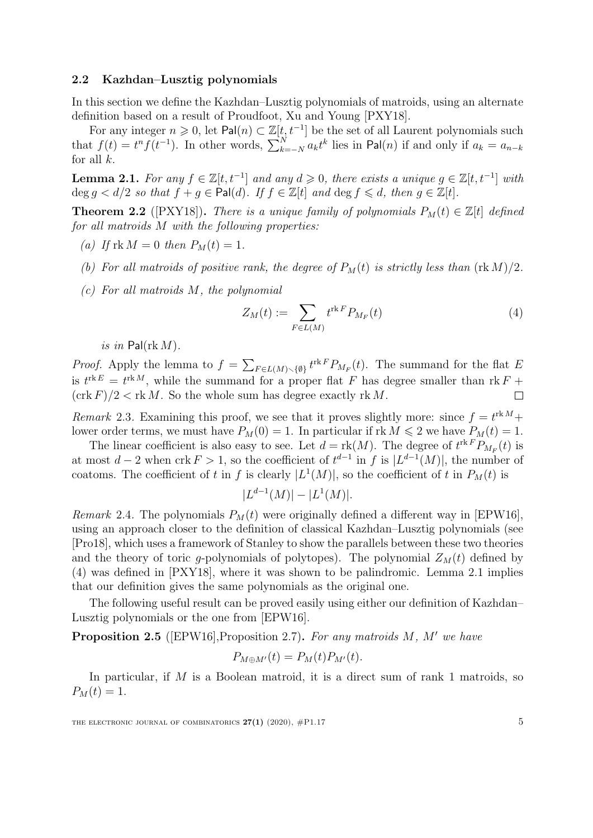## 2.2 Kazhdan–Lusztig polynomials

In this section we define the Kazhdan–Lusztig polynomials of matroids, using an alternate definition based on a result of Proudfoot, Xu and Young [\[PXY18\]](#page-16-1).

For any integer  $n \geq 0$ , let Pal $(n) \subset \mathbb{Z}[t, t^{-1}]$  be the set of all Laurent polynomials such that  $f(t) = t^n f(t^{-1})$ . In other words,  $\sum_{k=-N}^{N} a_k t^k$  lies in Pal(n) if and only if  $a_k = a_{n-k}$ for all  $k$ .

<span id="page-4-1"></span>**Lemma 2.1.** For any  $f \in \mathbb{Z}[t, t^{-1}]$  and any  $d \geq 0$ , there exists a unique  $g \in \mathbb{Z}[t, t^{-1}]$  with  $\deg g < d/2$  so that  $f + g \in \text{Pal}(d)$ . If  $f \in \mathbb{Z}[t]$  and  $\deg f \leq d$ , then  $g \in \mathbb{Z}[t]$ .

**Theorem 2.2** ([\[PXY18\]](#page-16-1)). There is a unique family of polynomials  $P_M(t) \in \mathbb{Z}[t]$  defined for all matroids M with the following properties:

- (a) If  $\text{rk } M = 0$  then  $P_M(t) = 1$ .
- (b) For all matroids of positive rank, the degree of  $P_M(t)$  is strictly less than  $(\text{rk }M)/2$ .
- (c) For all matroids M, the polynomial

<span id="page-4-0"></span>
$$
Z_M(t) := \sum_{F \in L(M)} t^{\text{rk}\,F} P_{M_F}(t) \tag{4}
$$

is in Pal( $\text{rk }M$ ).

*Proof.* Apply the lemma to  $f = \sum_{F \in L(M) \setminus \{\emptyset\}} t^{\text{rk } F} P_{M_F}(t)$ . The summand for the flat E is  $t^{\text{rk }E} = t^{\text{rk }M}$ , while the summand for a proper flat F has degree smaller than  $\text{rk }F +$  $(\operatorname{crk} F)/2 < \operatorname{rk} M$ . So the whole sum has degree exactly  $\operatorname{rk} M$ .  $\Box$ 

Remark 2.3. Examining this proof, we see that it proves slightly more: since  $f = t^{\text{rk }M} +$ lower order terms, we must have  $P_M(0) = 1$ . In particular if rk  $M \leq 2$  we have  $P_M(t) = 1$ .

The linear coefficient is also easy to see. Let  $d = \text{rk}(M)$ . The degree of  $t^{\text{rk }F}P_{M_F}(t)$  is at most  $d-2$  when crk  $F > 1$ , so the coefficient of  $t^{d-1}$  in f is  $|L^{d-1}(M)|$ , the number of coatoms. The coefficient of t in f is clearly  $|L^1(M)|$ , so the coefficient of t in  $P_M(t)$  is

$$
|L^{d-1}(M)| - |L^1(M)|.
$$

*Remark* 2.4. The polynomials  $P_M(t)$  were originally defined a different way in [\[EPW16\]](#page-15-0), using an approach closer to the definition of classical Kazhdan–Lusztig polynomials (see [\[Pro18\]](#page-16-4), which uses a framework of Stanley to show the parallels between these two theories and the theory of toric g-polynomials of polytopes). The polynomial  $Z_M(t)$  defined by [\(4\)](#page-4-0) was defined in [\[PXY18\]](#page-16-1), where it was shown to be palindromic. Lemma [2.1](#page-4-1) implies that our definition gives the same polynomials as the original one.

The following useful result can be proved easily using either our definition of Kazhdan– Lusztig polynomials or the one from [\[EPW16\]](#page-15-0).

<span id="page-4-2"></span>**Proposition 2.5** ([\[EPW16\]](#page-15-0), Proposition 2.7). For any matroids  $M$ ,  $M'$  we have

$$
P_{M\oplus M'}(t) = P_M(t)P_{M'}(t).
$$

In particular, if  $M$  is a Boolean matroid, it is a direct sum of rank 1 matroids, so  $P_M(t) = 1.$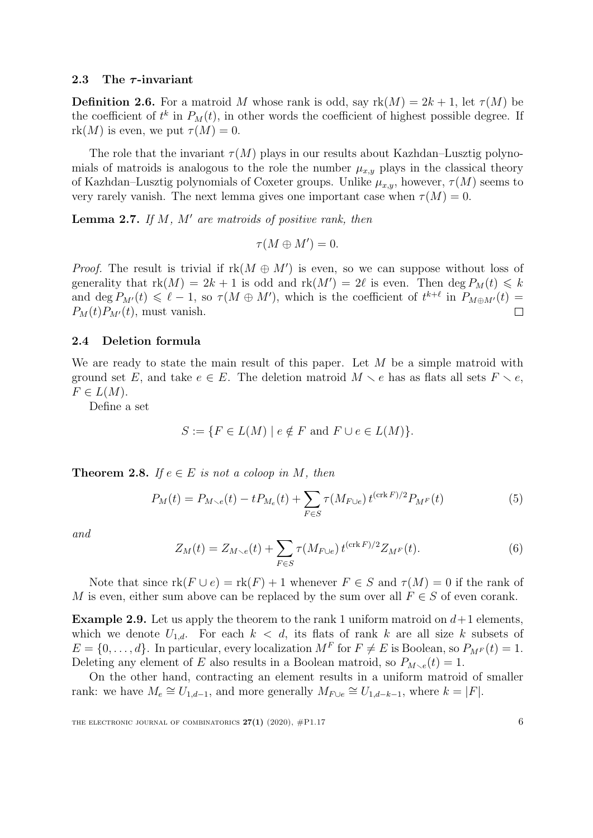#### 2.3 The  $\tau$ -invariant

**Definition 2.6.** For a matroid M whose rank is odd, say  $rk(M) = 2k + 1$ , let  $\tau(M)$  be the coefficient of  $t^k$  in  $P_M(t)$ , in other words the coefficient of highest possible degree. If rk $(M)$  is even, we put  $\tau(M) = 0$ .

The role that the invariant  $\tau(M)$  plays in our results about Kazhdan–Lusztig polynomials of matroids is analogous to the role the number  $\mu_{x,y}$  plays in the classical theory of Kazhdan–Lusztig polynomials of Coxeter groups. Unlike  $\mu_{x,y}$ , however,  $\tau(M)$  seems to very rarely vanish. The next lemma gives one important case when  $\tau(M) = 0$ .

<span id="page-5-3"></span>**Lemma 2.7.** If  $M$ ,  $M'$  are matroids of positive rank, then

$$
\tau(M\oplus M')=0.
$$

*Proof.* The result is trivial if  $rk(M \oplus M')$  is even, so we can suppose without loss of generality that  $rk(M) = 2k + 1$  is odd and  $rk(M') = 2\ell$  is even. Then  $\deg P_M(t) \leq k$ and deg  $P_{M'}(t) \leq \ell - 1$ , so  $\tau(M \oplus M')$ , which is the coefficient of  $t^{k+\ell}$  in  $P_{M \oplus M'}(t) =$  $\Box$  $P_M(t)P_{M'}(t)$ , must vanish.

#### 2.4 Deletion formula

We are ready to state the main result of this paper. Let  $M$  be a simple matroid with ground set E, and take  $e \in E$ . The deletion matroid  $M \setminus e$  has as flats all sets  $F \setminus e$ ,  $F \in L(M)$ .

Define a set

$$
S := \{ F \in L(M) \mid e \notin F \text{ and } F \cup e \in L(M) \}.
$$

<span id="page-5-0"></span>**Theorem 2.8.** If  $e \in E$  is not a coloop in M, then

<span id="page-5-1"></span>
$$
P_M(t) = P_{M \sim e}(t) - t P_{M_e}(t) + \sum_{F \in S} \tau(M_{F \cup e}) t^{(\text{crk} F)/2} P_{M^F}(t)
$$
(5)

and

<span id="page-5-2"></span>
$$
Z_M(t) = Z_{M \setminus e}(t) + \sum_{F \in S} \tau(M_{F \cup e}) t^{(\text{crk} F)/2} Z_{M^F}(t).
$$
 (6)

Note that since  $\text{rk}(F \cup e) = \text{rk}(F) + 1$  whenever  $F \in S$  and  $\tau(M) = 0$  if the rank of M is even, either sum above can be replaced by the sum over all  $F \in S$  of even corank.

**Example 2.9.** Let us apply the theorem to the rank 1 uniform matroid on  $d+1$  elements, which we denote  $U_{1,d}$ . For each  $k < d$ , its flats of rank k are all size k subsets of  $E = \{0, \ldots, d\}$ . In particular, every localization  $M<sup>F</sup>$  for  $F \neq E$  is Boolean, so  $P_{M<sup>F</sup>}(t) = 1$ . Deleting any element of E also results in a Boolean matroid, so  $P_{M \setminus e}(t) = 1$ .

On the other hand, contracting an element results in a uniform matroid of smaller rank: we have  $M_e \cong U_{1,d-1}$ , and more generally  $M_{F \cup e} \cong U_{1,d-k-1}$ , where  $k = |F|$ .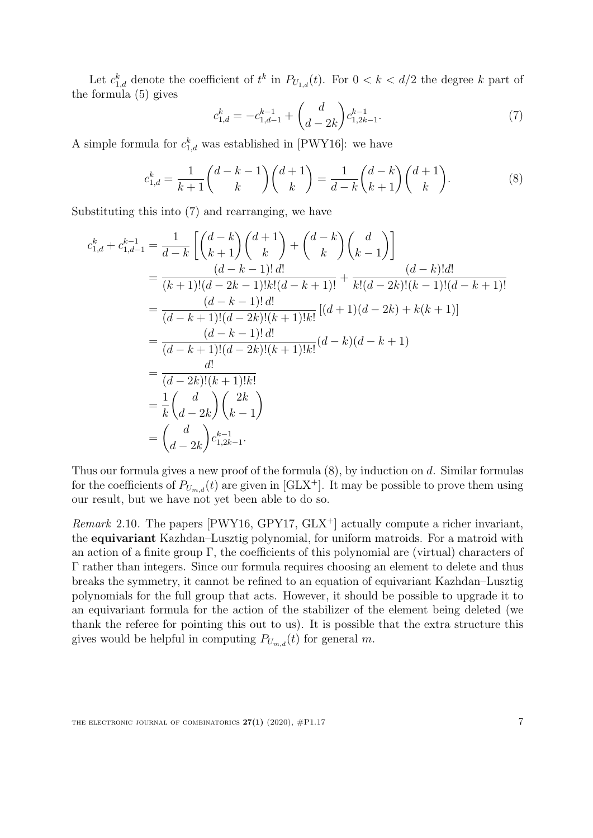Let  $c_{1,d}^k$  denote the coefficient of  $t^k$  in  $P_{U_{1,d}}(t)$ . For  $0 < k < d/2$  the degree k part of the formula [\(5\)](#page-5-1) gives

<span id="page-6-0"></span>
$$
c_{1,d}^k = -c_{1,d-1}^{k-1} + \binom{d}{d-2k} c_{1,2k-1}^{k-1}.
$$
\n<sup>(7)</sup>

A simple formula for  $c_{1,d}^k$  was established in [\[PWY16\]](#page-16-5): we have

<span id="page-6-1"></span>
$$
c_{1,d}^k = \frac{1}{k+1} \binom{d-k-1}{k} \binom{d+1}{k} = \frac{1}{d-k} \binom{d-k}{k+1} \binom{d+1}{k}.
$$
 (8)

Substituting this into [\(7\)](#page-6-0) and rearranging, we have

$$
c_{1,d}^k + c_{1,d-1}^{k-1} = \frac{1}{d-k} \left[ \binom{d-k}{k+1} \binom{d+1}{k} + \binom{d-k}{k} \binom{d}{k-1} \right]
$$
  
\n
$$
= \frac{(d-k-1)! \, d!}{(k+1)!(d-2k-1)!k!(d-k+1)!} + \frac{(d-k)! \, d!}{k!(d-2k)!(k-1)!(d-k+1)!}
$$
  
\n
$$
= \frac{(d-k-1)! \, d!}{(d-k+1)!(d-2k)!(k+1)!k!} [(d+1)(d-2k) + k(k+1)]
$$
  
\n
$$
= \frac{(d-k-1)! \, d!}{(d-k+1)!(d-2k)!(k+1)!k!} (d-k)(d-k+1)
$$
  
\n
$$
= \frac{d!}{(d-2k)!(k+1)!k!}
$$
  
\n
$$
= \frac{1}{k} \binom{d}{d-2k} \binom{2k}{k-1}
$$
  
\n
$$
= \binom{d}{d-2k} c_{1,2k-1}^{k-1}.
$$

Thus our formula gives a new proof of the formula [\(8\)](#page-6-1), by induction on d. Similar formulas for the coefficients of  $P_{U_{m,d}}(t)$  are given in [\[GLX](#page-16-6)<sup>+</sup>]. It may be possible to prove them using our result, but we have not yet been able to do so.

*Remark* 2.10. The papers [\[PWY16,](#page-16-5) [GPY17,](#page-16-7)  $GLX^+$  $GLX^+$ ] actually compute a richer invariant, the equivariant Kazhdan–Lusztig polynomial, for uniform matroids. For a matroid with an action of a finite group  $\Gamma$ , the coefficients of this polynomial are (virtual) characters of Γ rather than integers. Since our formula requires choosing an element to delete and thus breaks the symmetry, it cannot be refined to an equation of equivariant Kazhdan–Lusztig polynomials for the full group that acts. However, it should be possible to upgrade it to an equivariant formula for the action of the stabilizer of the element being deleted (we thank the referee for pointing this out to us). It is possible that the extra structure this gives would be helpful in computing  $P_{U_{m,d}}(t)$  for general m.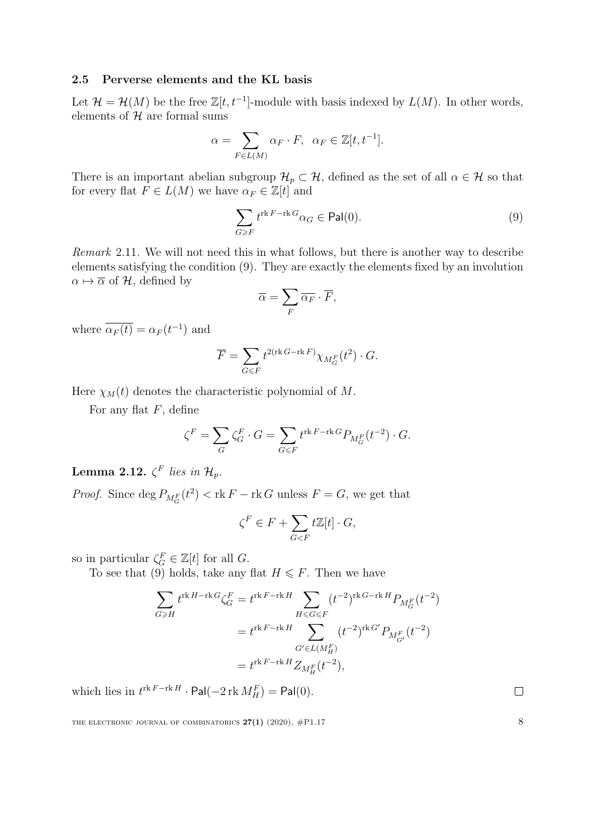## 2.5 Perverse elements and the KL basis

Let  $\mathcal{H} = \mathcal{H}(M)$  be the free  $\mathbb{Z}[t, t^{-1}]$ -module with basis indexed by  $L(M)$ . In other words, elements of  $H$  are formal sums

$$
\alpha = \sum_{F \in L(M)} \alpha_F \cdot F, \ \alpha_F \in \mathbb{Z}[t, t^{-1}].
$$

There is an important abelian subgroup  $\mathcal{H}_p \subset \mathcal{H}$ , defined as the set of all  $\alpha \in \mathcal{H}$  so that for every flat  $F \in L(M)$  we have  $\alpha_F \in \mathbb{Z}[t]$  and

<span id="page-7-0"></span>
$$
\sum_{G \geq F} t^{\operatorname{rk} F - \operatorname{rk} G} \alpha_G \in \operatorname{Pal}(0). \tag{9}
$$

Remark 2.11. We will not need this in what follows, but there is another way to describe elements satisfying the condition [\(9\)](#page-7-0). They are exactly the elements fixed by an involution  $\alpha \mapsto \overline{\alpha}$  of H, defined by

$$
\overline{\alpha} = \sum_{F} \overline{\alpha_{F}} \cdot \overline{F},
$$

where  $\overline{\alpha_F(t)} = \alpha_F(t^{-1})$  and

$$
\overline{F} = \sum_{G \leq F} t^{2(\text{rk } G - \text{rk } F)} \chi_{M_G^F}(t^2) \cdot G.
$$

Here  $\chi_M(t)$  denotes the characteristic polynomial of M.

For any flat  $F$ , define

$$
\zeta^F = \sum_G \zeta_G^F \cdot G = \sum_{G \leq F} t^{\text{rk } F - \text{rk } G} P_{M_G^F}(t^{-2}) \cdot G.
$$

Lemma 2.12.  $\zeta^F$  lies in  $\mathcal{H}_p$ .

*Proof.* Since  $\deg P_{M_G^F}(t^2) < \text{rk } F - \text{rk } G$  unless  $F = G$ , we get that

$$
\zeta^F \in F + \sum_{G < F} t\mathbb{Z}[t] \cdot G,
$$

so in particular  $\zeta_G^F \in \mathbb{Z}[t]$  for all G.

To see that [\(9\)](#page-7-0) holds, take any flat  $H \leq F$ . Then we have

$$
\sum_{G \ge H} t^{\text{rk } H - \text{rk } G} \zeta_G^F = t^{\text{rk } F - \text{rk } H} \sum_{H \le G \le F} (t^{-2})^{\text{rk } G - \text{rk } H} P_{M_G^F}(t^{-2})
$$
\n
$$
= t^{\text{rk } F - \text{rk } H} \sum_{G' \in L(M_H^F)} (t^{-2})^{\text{rk } G'} P_{M_{G'}^F}(t^{-2})
$$
\n
$$
= t^{\text{rk } F - \text{rk } H} Z_{M_H^F}(t^{-2}),
$$

which lies in  $t^{\text{rk }F-\text{rk }H} \cdot \textsf{Pal}(-2 \,\text{rk }M_H^F) = \textsf{Pal}(0).$ 

THE ELECTRONIC JOURNAL OF COMBINATORICS  $27(1)$  (2020),  $\#P1.17$  8

 $\Box$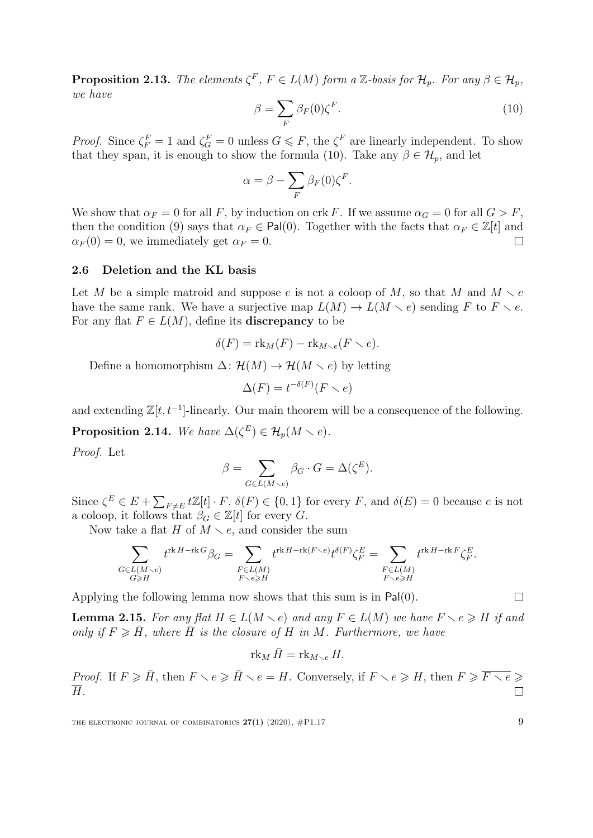<span id="page-8-1"></span>**Proposition 2.13.** The elements  $\zeta^F$ ,  $F \in L(M)$  form a Z-basis for  $\mathcal{H}_p$ . For any  $\beta \in \mathcal{H}_p$ , we have

<span id="page-8-0"></span>
$$
\beta = \sum_{F} \beta_F(0) \zeta^F. \tag{10}
$$

*Proof.* Since  $\zeta_F^F = 1$  and  $\zeta_G^F = 0$  unless  $G \leq F$ , the  $\zeta^F$  are linearly independent. To show that they span, it is enough to show the formula [\(10\)](#page-8-0). Take any  $\beta \in \mathcal{H}_p$ , and let

$$
\alpha = \beta - \sum_{F} \beta_{F}(0) \zeta^{F}.
$$

We show that  $\alpha_F = 0$  for all F, by induction on crk F. If we assume  $\alpha_G = 0$  for all  $G > F$ , then the condition [\(9\)](#page-7-0) says that  $\alpha_F \in \text{Pal}(0)$ . Together with the facts that  $\alpha_F \in \mathbb{Z}[t]$  and  $\alpha_F(0) = 0$ , we immediately get  $\alpha_F = 0$ .  $\Box$ 

# 2.6 Deletion and the KL basis

Let M be a simple matroid and suppose e is not a coloop of M, so that M and  $M \setminus e$ have the same rank. We have a surjective map  $L(M) \to L(M \times e)$  sending F to  $F \times e$ . For any flat  $F \in L(M)$ , define its **discrepancy** to be

$$
\delta(F) = \text{rk}_M(F) - \text{rk}_{M \setminus e}(F \setminus e).
$$

Define a homomorphism  $\Delta: \mathcal{H}(M) \to \mathcal{H}(M \setminus e)$  by letting

$$
\Delta(F) = t^{-\delta(F)}(F \setminus e)
$$

and extending  $\mathbb{Z}[t, t^{-1}]$ -linearly. Our main theorem will be a consequence of the following.

<span id="page-8-2"></span>**Proposition 2.14.** We have  $\Delta(\zeta^E) \in \mathcal{H}_p(M \setminus e)$ .

Proof. Let

$$
\beta = \sum_{G \in L(M \smallsetminus e)} \beta_G \cdot G = \Delta(\zeta^E).
$$

Since  $\zeta^E \in E + \sum_{F \neq E} t \mathbb{Z}[t] \cdot F$ ,  $\delta(F) \in \{0, 1\}$  for every F, and  $\delta(E) = 0$  because e is not a coloop, it follows that  $\beta_G \in \mathbb{Z}[t]$  for every  $G$ .

Now take a flat H of  $M \setminus e$ , and consider the sum

$$
\sum_{\substack{G\in L(M\smallsetminus e)\\ G\geqslant H}}t^{\operatorname{rk} H - \operatorname{rk} G}\beta_G=\sum_{\substack{F\in L(M)\\ F\smallsetminus e\geqslant H}}t^{\operatorname{rk} H - \operatorname{rk}(F\smallsetminus e)}t^{\delta(F)}\zeta_F^E=\sum_{\substack{F\in L(M)\\ F\smallsetminus e\geqslant H}}t^{\operatorname{rk} H - \operatorname{rk} F}\zeta_F^E.
$$

Applying the following lemma now shows that this sum is in Pal(0).

**Lemma 2.15.** For any flat  $H \in L(M \setminus e)$  and any  $F \in L(M)$  we have  $F \setminus e \geq H$  if and only if  $F \geq \bar{H}$ , where  $\bar{H}$  is the closure of H in M. Furthermore, we have

$$
\operatorname{rk}_M \bar{H} = \operatorname{rk}_{M \smallsetminus e} H.
$$

*Proof.* If  $F \ge \overline{H}$ , then  $F \setminus e \ge \overline{H} \setminus e = H$ . Conversely, if  $F \setminus e \ge H$ , then  $F \ge \overline{F \setminus e} \ge$  $\overline{H}$ .  $\Box$ 

THE ELECTRONIC JOURNAL OF COMBINATORICS  $27(1)$  (2020),  $\#P1.17$  9

 $\Box$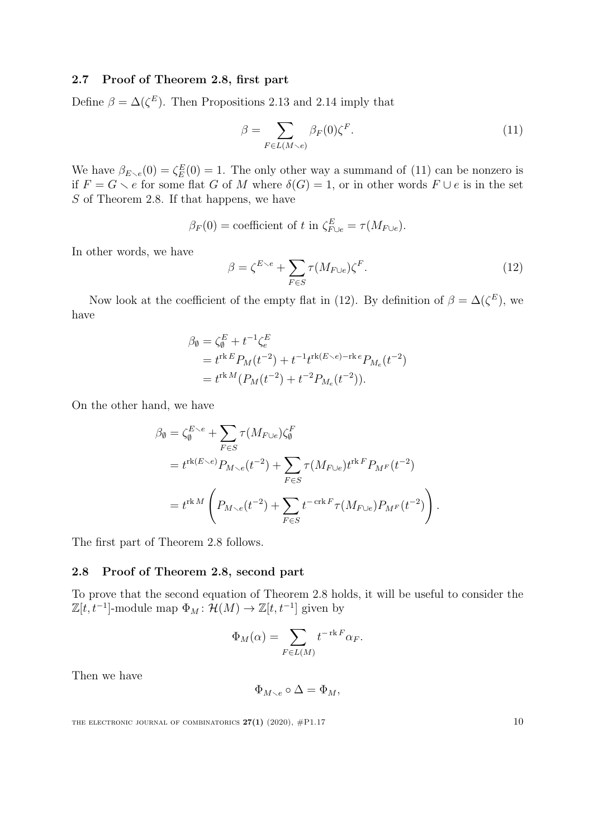# 2.7 Proof of Theorem [2.8,](#page-5-0) first part

Define  $\beta = \Delta(\zeta^E)$ . Then Propositions [2.13](#page-8-1) and [2.14](#page-8-2) imply that

<span id="page-9-0"></span>
$$
\beta = \sum_{F \in L(M \setminus e)} \beta_F(0) \zeta^F. \tag{11}
$$

We have  $\beta_{E\setminus e}(0) = \zeta_E^E(0) = 1$ . The only other way a summand of [\(11\)](#page-9-0) can be nonzero is if  $F = G \setminus e$  for some flat G of M where  $\delta(G) = 1$ , or in other words  $F \cup e$  is in the set S of Theorem [2.8.](#page-5-0) If that happens, we have

$$
\beta_F(0) = \text{coefficient of } t \text{ in } \zeta_{F \cup e}^E = \tau(M_{F \cup e}).
$$

In other words, we have

<span id="page-9-1"></span>
$$
\beta = \zeta^{E \searrow e} + \sum_{F \in S} \tau(M_{F \cup e}) \zeta^F. \tag{12}
$$

Now look at the coefficient of the empty flat in [\(12\)](#page-9-1). By definition of  $\beta = \Delta(\zeta^E)$ , we have

$$
\beta_{\emptyset} = \zeta_{\emptyset}^{E} + t^{-1} \zeta_{e}^{E}
$$
  
=  $t^{\text{rk }E} P_M(t^{-2}) + t^{-1} t^{\text{rk}(E \setminus e) - \text{rk }e} P_{M_e}(t^{-2})$   
=  $t^{\text{rk }M} (P_M(t^{-2}) + t^{-2} P_{M_e}(t^{-2})).$ 

On the other hand, we have

$$
\beta_{\emptyset} = \zeta_{\emptyset}^{E \backsim e} + \sum_{F \in S} \tau(M_{F \cup e}) \zeta_{\emptyset}^{F}
$$
\n
$$
= t^{\operatorname{rk}(E \backslash e)} P_{M \backslash e}(t^{-2}) + \sum_{F \in S} \tau(M_{F \cup e}) t^{\operatorname{rk} F} P_{M^F}(t^{-2})
$$
\n
$$
= t^{\operatorname{rk} M} \left( P_{M \backslash e}(t^{-2}) + \sum_{F \in S} t^{-\operatorname{crk} F} \tau(M_{F \cup e}) P_{M^F}(t^{-2}) \right).
$$

The first part of Theorem [2.8](#page-5-0) follows.

## 2.8 Proof of Theorem [2.8,](#page-5-0) second part

To prove that the second equation of Theorem [2.8](#page-5-0) holds, it will be useful to consider the  $\mathbb{Z}[t, t^{-1}]$ -module map  $\Phi_M : \mathcal{H}(M) \to \mathbb{Z}[t, t^{-1}]$  given by

$$
\Phi_M(\alpha) = \sum_{F \in L(M)} t^{-\operatorname{rk} F} \alpha_F.
$$

Then we have

$$
\Phi_{M\smallsetminus e}\circ\Delta=\Phi_M,
$$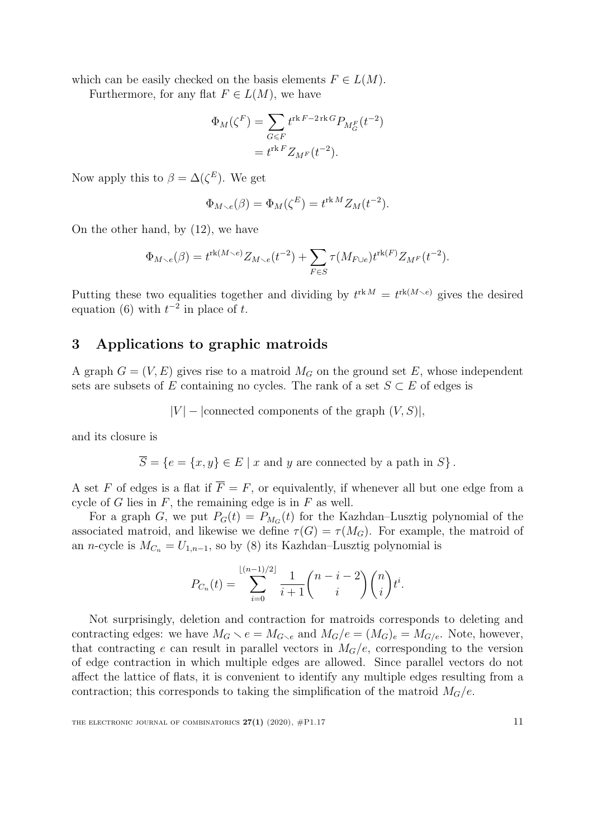which can be easily checked on the basis elements  $F \in L(M)$ .

Furthermore, for any flat  $F \in L(M)$ , we have

$$
\Phi_M(\zeta^F) = \sum_{G \leq F} t^{\text{rk } F - 2\text{rk } G} P_{M_G^F}(t^{-2})
$$

$$
= t^{\text{rk } F} Z_{M^F}(t^{-2}).
$$

Now apply this to  $\beta = \Delta(\zeta^E)$ . We get

$$
\Phi_{M \setminus e}(\beta) = \Phi_M(\zeta^E) = t^{\text{rk }M} Z_M(t^{-2}).
$$

On the other hand, by [\(12\)](#page-9-1), we have

$$
\Phi_{M \setminus e}(\beta) = t^{\text{rk}(M \setminus e)} Z_{M \setminus e}(t^{-2}) + \sum_{F \in S} \tau(M_{F \cup e}) t^{\text{rk}(F)} Z_{M^F}(t^{-2}).
$$

Putting these two equalities together and dividing by  $t^{\text{rk }M} = t^{\text{rk}(M \setminus e)}$  gives the desired equation [\(6\)](#page-5-2) with  $t^{-2}$  in place of t.

# 3 Applications to graphic matroids

A graph  $G = (V, E)$  gives rise to a matroid  $M_G$  on the ground set E, whose independent sets are subsets of E containing no cycles. The rank of a set  $S \subset E$  of edges is

$$
|V|
$$
 – [connected components of the graph  $(V, S)|$ ,

and its closure is

 $\overline{S} = \{e = \{x, y\} \in E \mid x \text{ and } y \text{ are connected by a path in } S\}.$ 

A set F of edges is a flat if  $\overline{F} = F$ , or equivalently, if whenever all but one edge from a cycle of G lies in  $F$ , the remaining edge is in  $F$  as well.

For a graph G, we put  $P_G(t) = P_{M_G}(t)$  for the Kazhdan–Lusztig polynomial of the associated matroid, and likewise we define  $\tau(G) = \tau(M_G)$ . For example, the matroid of an n-cycle is  $M_{C_n} = U_{1,n-1}$ , so by [\(8\)](#page-6-1) its Kazhdan–Lusztig polynomial is

$$
P_{C_n}(t) = \sum_{i=0}^{\lfloor (n-1)/2 \rfloor} \frac{1}{i+1} {n-i-2 \choose i} {n \choose i} t^i.
$$

Not surprisingly, deletion and contraction for matroids corresponds to deleting and contracting edges: we have  $M_G \setminus e = M_{G \setminus e}$  and  $M_G/e = (M_G)_e = M_{G/e}$ . Note, however, that contracting e can result in parallel vectors in  $M_G/e$ , corresponding to the version of edge contraction in which multiple edges are allowed. Since parallel vectors do not affect the lattice of flats, it is convenient to identify any multiple edges resulting from a contraction; this corresponds to taking the simplification of the matroid  $M_G/e$ .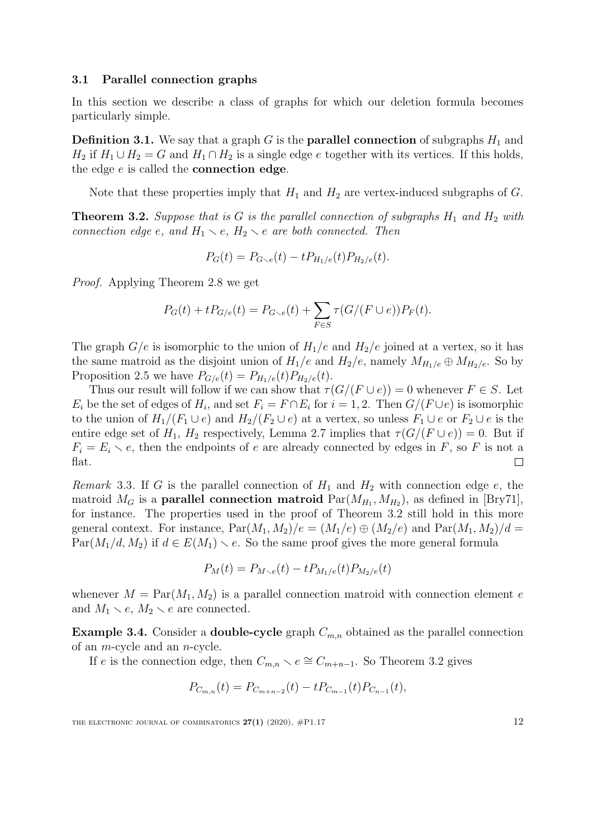#### 3.1 Parallel connection graphs

In this section we describe a class of graphs for which our deletion formula becomes particularly simple.

**Definition 3.1.** We say that a graph  $G$  is the **parallel connection** of subgraphs  $H_1$  and  $H_2$  if  $H_1 \cup H_2 = G$  and  $H_1 \cap H_2$  is a single edge e together with its vertices. If this holds, the edge  $e$  is called the **connection edge**.

Note that these properties imply that  $H_1$  and  $H_2$  are vertex-induced subgraphs of G.

<span id="page-11-0"></span>**Theorem 3.2.** Suppose that is G is the parallel connection of subgraphs  $H_1$  and  $H_2$  with connection edge e, and  $H_1 \setminus e$ ,  $H_2 \setminus e$  are both connected. Then

$$
P_G(t) = P_{G \setminus e}(t) - t P_{H_1/e}(t) P_{H_2/e}(t).
$$

Proof. Applying Theorem [2.8](#page-5-0) we get

$$
P_G(t) + t P_{G/e}(t) = P_{G \setminus e}(t) + \sum_{F \in S} \tau(G/(F \cup e)) P_F(t).
$$

The graph  $G/e$  is isomorphic to the union of  $H_1/e$  and  $H_2/e$  joined at a vertex, so it has the same matroid as the disjoint union of  $H_1/e$  and  $H_2/e$ , namely  $M_{H_1/e} \oplus M_{H_2/e}$ . So by Proposition [2.5](#page-4-2) we have  $P_{G/e}(t) = P_{H_1/e}(t)P_{H_2/e}(t)$ .

Thus our result will follow if we can show that  $\tau(G/(F \cup e)) = 0$  whenever  $F \in S$ . Let  $E_i$  be the set of edges of  $H_i$ , and set  $F_i = F \cap E_i$  for  $i = 1, 2$ . Then  $G/(F \cup e)$  is isomorphic to the union of  $H_1/(F_1 \cup e)$  and  $H_2/(F_2 \cup e)$  at a vertex, so unless  $F_1 \cup e$  or  $F_2 \cup e$  is the entire edge set of  $H_1$ ,  $H_2$  respectively, Lemma [2.7](#page-5-3) implies that  $\tau(G/(F \cup e)) = 0$ . But if  $F_i = E_i \setminus e$ , then the endpoints of e are already connected by edges in F, so F is not a flat.  $\Box$ 

Remark 3.3. If G is the parallel connection of  $H_1$  and  $H_2$  with connection edge e, the matroid  $M_G$  is a **parallel connection matroid**  $Par(M_{H_1}, M_{H_2})$ , as defined in [\[Bry71\]](#page-15-1), for instance. The properties used in the proof of Theorem [3.2](#page-11-0) still hold in this more general context. For instance,  $\text{Par}(M_1, M_2)/e = (M_1/e) \oplus (M_2/e)$  and  $\text{Par}(M_1, M_2)/d =$  $Par(M_1/d, M_2)$  if  $d \in E(M_1) \setminus e$ . So the same proof gives the more general formula

$$
P_M(t) = P_{M \setminus e}(t) - t P_{M_1/e}(t) P_{M_2/e}(t)
$$

whenever  $M = \text{Par}(M_1, M_2)$  is a parallel connection matroid with connection element e and  $M_1 \setminus e$ ,  $M_2 \setminus e$  are connected.

**Example 3.4.** Consider a **double-cycle** graph  $C_{m,n}$  obtained as the parallel connection of an m-cycle and an n-cycle.

If e is the connection edge, then  $C_{m,n} \setminus e \cong C_{m+n-1}$ . So Theorem [3.2](#page-11-0) gives

$$
P_{C_{m,n}}(t) = P_{C_{m+n-2}}(t) - t P_{C_{m-1}}(t) P_{C_{n-1}}(t),
$$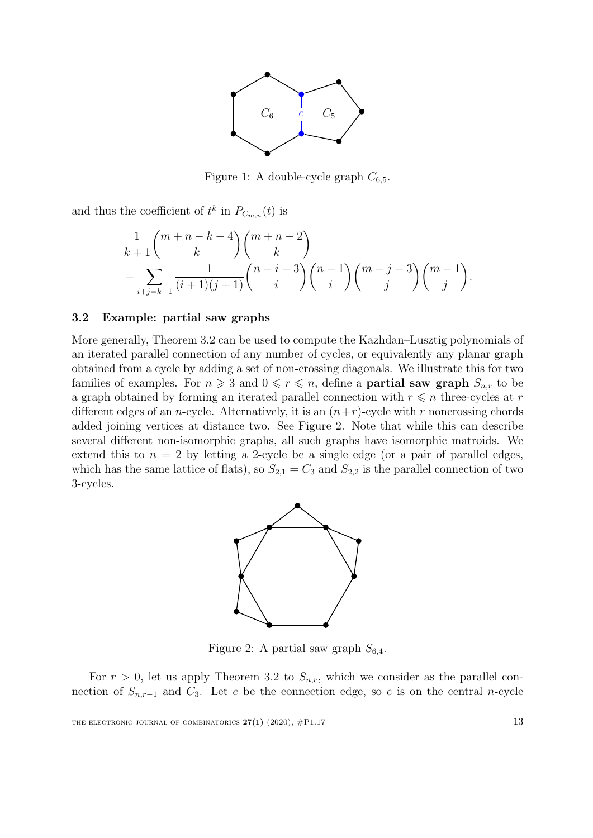

Figure 1: A double-cycle graph  $C_{6.5}$ .

and thus the coefficient of  $t^k$  in  $P_{C_{m,n}}(t)$  is

$$
\frac{1}{k+1} \binom{m+n-k-4}{k} \binom{m+n-2}{k}
$$
\n
$$
-\sum_{i+j=k-1} \frac{1}{(i+1)(j+1)} \binom{n-i-3}{i} \binom{n-1}{i} \binom{m-j-3}{j} \binom{m-1}{j}.
$$

## 3.2 Example: partial saw graphs

More generally, Theorem [3.2](#page-11-0) can be used to compute the Kazhdan–Lusztig polynomials of an iterated parallel connection of any number of cycles, or equivalently any planar graph obtained from a cycle by adding a set of non-crossing diagonals. We illustrate this for two families of examples. For  $n \geq 3$  and  $0 \leq r \leq n$ , define a **partial saw graph**  $S_{n,r}$  to be a graph obtained by forming an iterated parallel connection with  $r \leq n$  three-cycles at r different edges of an *n*-cycle. Alternatively, it is an  $(n+r)$ -cycle with r noncrossing chords added joining vertices at distance two. See Figure [2.](#page-12-0) Note that while this can describe several different non-isomorphic graphs, all such graphs have isomorphic matroids. We extend this to  $n = 2$  by letting a 2-cycle be a single edge (or a pair of parallel edges, which has the same lattice of flats), so  $S_{2,1} = C_3$  and  $S_{2,2}$  is the parallel connection of two 3-cycles.



<span id="page-12-0"></span>Figure 2: A partial saw graph  $S_{6,4}$ .

For  $r > 0$ , let us apply Theorem [3.2](#page-11-0) to  $S_{n,r}$ , which we consider as the parallel connection of  $S_{n,r-1}$  and  $C_3$ . Let e be the connection edge, so e is on the central n-cycle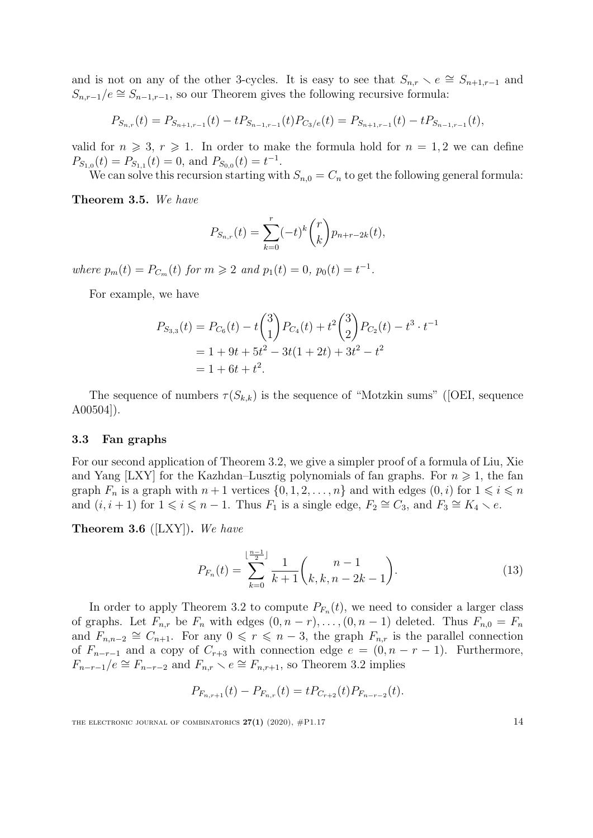and is not on any of the other 3-cycles. It is easy to see that  $S_{n,r} \setminus e \cong S_{n+1,r-1}$  and  $S_{n,r-1}/e \cong S_{n-1,r-1}$ , so our Theorem gives the following recursive formula:

$$
P_{S_{n,r}}(t) = P_{S_{n+1,r-1}}(t) - t P_{S_{n-1,r-1}}(t) P_{C_3/e}(t) = P_{S_{n+1,r-1}}(t) - t P_{S_{n-1,r-1}}(t),
$$

valid for  $n \geq 3$ ,  $r \geq 1$ . In order to make the formula hold for  $n = 1, 2$  we can define  $P_{S_{1,0}}(t) = P_{S_{1,1}}(t) = 0$ , and  $P_{S_{0,0}}(t) = t^{-1}$ .

We can solve this recursion starting with  $S_{n,0} = C_n$  to get the following general formula:

Theorem 3.5. We have

$$
P_{S_{n,r}}(t) = \sum_{k=0}^{r} (-t)^k {r \choose k} p_{n+r-2k}(t),
$$

where  $p_m(t) = P_{C_m}(t)$  for  $m \ge 2$  and  $p_1(t) = 0$ ,  $p_0(t) = t^{-1}$ .

For example, we have

$$
P_{S_{3,3}}(t) = P_{C_6}(t) - t\binom{3}{1}P_{C_4}(t) + t^2\binom{3}{2}P_{C_2}(t) - t^3 \cdot t^{-1}
$$
  
= 1 + 9t + 5t<sup>2</sup> - 3t(1 + 2t) + 3t<sup>2</sup> - t<sup>2</sup>  
= 1 + 6t + t<sup>2</sup>.

Thesequence of numbers  $\tau(S_{k,k})$  is the sequence of "Motzkin sums" ([\[OEI,](#page-16-8) sequence A00504]).

#### 3.3 Fan graphs

For our second application of Theorem [3.2,](#page-11-0) we give a simpler proof of a formula of Liu, Xie and Yang [\[LXY\]](#page-16-2) for the Kazhdan–Lusztig polynomials of fan graphs. For  $n \geq 1$ , the fan graph  $F_n$  is a graph with  $n + 1$  vertices  $\{0, 1, 2, \ldots, n\}$  and with edges  $(0, i)$  for  $1 \leq i \leq n$ and  $(i, i + 1)$  for  $1 \leq i \leq n - 1$ . Thus  $F_1$  is a single edge,  $F_2 \cong C_3$ , and  $F_3 \cong K_4 \setminus e$ .

<span id="page-13-1"></span>**Theorem 3.6** ([\[LXY\]](#page-16-2)). We have

<span id="page-13-0"></span>
$$
P_{F_n}(t) = \sum_{k=0}^{\lfloor \frac{n-1}{2} \rfloor} \frac{1}{k+1} {n-1 \choose k, k, n-2k-1}.
$$
 (13)

In order to apply Theorem [3.2](#page-11-0) to compute  $P_{F_n}(t)$ , we need to consider a larger class of graphs. Let  $F_{n,r}$  be  $F_n$  with edges  $(0, n-r), \ldots, (0, n-1)$  deleted. Thus  $F_{n,0} = F_n$ and  $F_{n,n-2} \cong C_{n+1}$ . For any  $0 \leq r \leq n-3$ , the graph  $F_{n,r}$  is the parallel connection of  $F_{n-r-1}$  and a copy of  $C_{r+3}$  with connection edge  $e = (0, n-r-1)$ . Furthermore,  $F_{n-r-1}/e \cong F_{n-r-2}$  and  $F_{n,r} \setminus e \cong F_{n,r+1}$ , so Theorem [3.2](#page-11-0) implies

$$
P_{F_{n,r+1}}(t) - P_{F_{n,r}}(t) = t P_{C_{r+2}}(t) P_{F_{n-r-2}}(t).
$$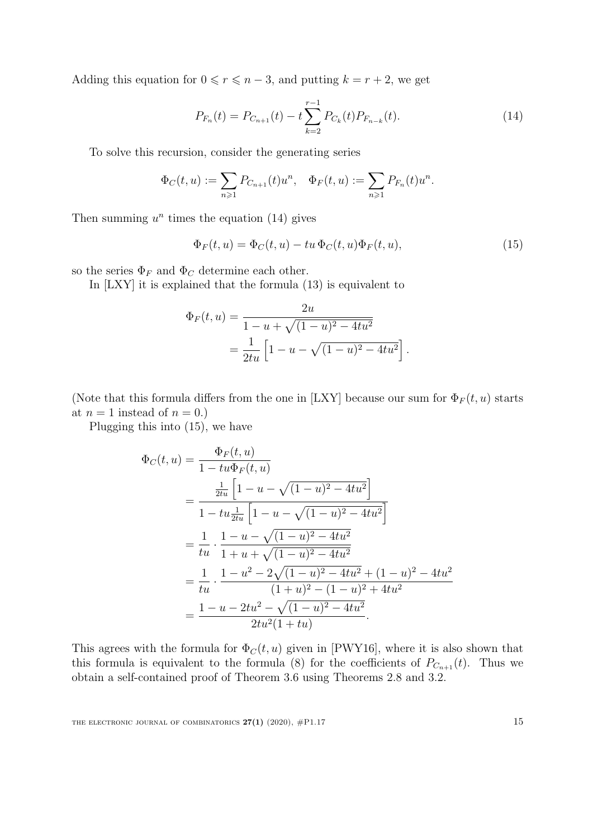Adding this equation for  $0 \le r \le n-3$ , and putting  $k = r + 2$ , we get

<span id="page-14-0"></span>
$$
P_{F_n}(t) = P_{C_{n+1}}(t) - t \sum_{k=2}^{r-1} P_{C_k}(t) P_{F_{n-k}}(t).
$$
\n(14)

To solve this recursion, consider the generating series

$$
\Phi_C(t, u) := \sum_{n \geq 1} P_{C_{n+1}}(t) u^n, \quad \Phi_F(t, u) := \sum_{n \geq 1} P_{F_n}(t) u^n.
$$

Then summing  $u^n$  times the equation [\(14\)](#page-14-0) gives

<span id="page-14-1"></span>
$$
\Phi_F(t, u) = \Phi_C(t, u) - tu \Phi_C(t, u)\Phi_F(t, u), \qquad (15)
$$

so the series  $\Phi_F$  and  $\Phi_C$  determine each other.

In [\[LXY\]](#page-16-2) it is explained that the formula [\(13\)](#page-13-0) is equivalent to

$$
\Phi_F(t, u) = \frac{2u}{1 - u + \sqrt{(1 - u)^2 - 4tu^2}}
$$
  
= 
$$
\frac{1}{2tu} \left[ 1 - u - \sqrt{(1 - u)^2 - 4tu^2} \right].
$$

(Note that this formula differs from the one in [\[LXY\]](#page-16-2) because our sum for  $\Phi_F(t, u)$  starts at  $n = 1$  instead of  $n = 0$ .)

Plugging this into [\(15\)](#page-14-1), we have

$$
\Phi_C(t, u) = \frac{\Phi_F(t, u)}{1 - tu\Phi_F(t, u)}
$$
\n
$$
= \frac{\frac{1}{2tu} \left[ 1 - u - \sqrt{(1 - u)^2 - 4tu^2} \right]}{1 - tu\frac{1}{2tu} \left[ 1 - u - \sqrt{(1 - u)^2 - 4tu^2} \right]}
$$
\n
$$
= \frac{1}{tu} \cdot \frac{1 - u - \sqrt{(1 - u)^2 - 4tu^2}}{1 + u + \sqrt{(1 - u)^2 - 4tu^2}}
$$
\n
$$
= \frac{1}{tu} \cdot \frac{1 - u^2 - 2\sqrt{(1 - u)^2 - 4tu^2} + (1 - u)^2 - 4tu^2}{(1 + u)^2 - (1 - u)^2 + 4tu^2}
$$
\n
$$
= \frac{1 - u - 2tu^2 - \sqrt{(1 - u)^2 - 4tu^2}}{2tu^2(1 + tu)}.
$$

This agrees with the formula for  $\Phi_C(t, u)$  given in [\[PWY16\]](#page-16-5), where it is also shown that this formula is equivalent to the formula [\(8\)](#page-6-1) for the coefficients of  $P_{C_{n+1}}(t)$ . Thus we obtain a self-contained proof of Theorem [3.6](#page-13-1) using Theorems [2.8](#page-5-0) and [3.2.](#page-11-0)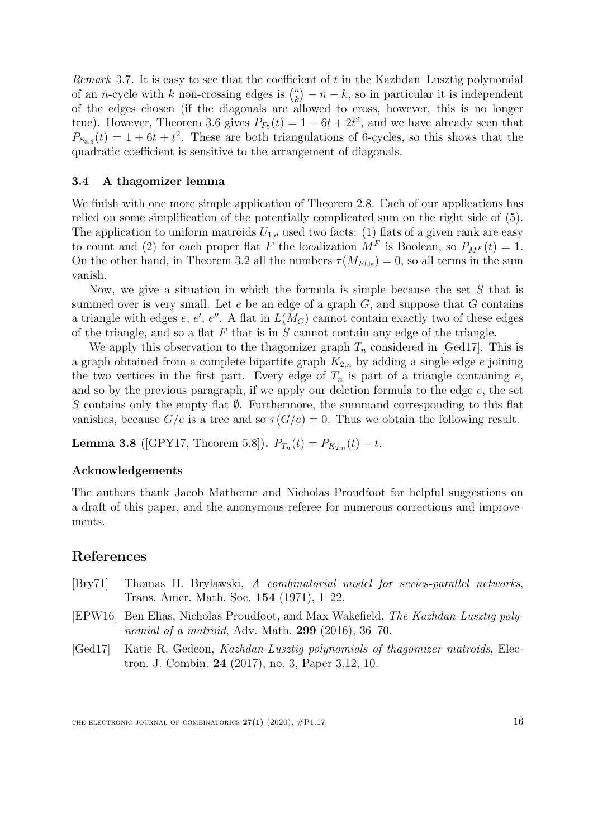*Remark* 3.7. It is easy to see that the coefficient of t in the Kazhdan–Lusztig polynomial of an *n*-cycle with k non-crossing edges is  $\binom{n}{k}$  ${k \choose k} - n - k$ , so in particular it is independent of the edges chosen (if the diagonals are allowed to cross, however, this is no longer true). However, Theorem [3.6](#page-13-1) gives  $P_{F_5}(t) = 1 + 6t + 2t^2$ , and we have already seen that  $P_{S_{3,3}}(t) = 1 + 6t + t^2$ . These are both triangulations of 6-cycles, so this shows that the quadratic coefficient is sensitive to the arrangement of diagonals.

# 3.4 A thagomizer lemma

We finish with one more simple application of Theorem [2.8.](#page-5-0) Each of our applications has relied on some simplification of the potentially complicated sum on the right side of [\(5\)](#page-5-1). The application to uniform matroids  $U_{1,d}$  used two facts: (1) flats of a given rank are easy to count and (2) for each proper flat F the localization  $M^F$  is Boolean, so  $P_{M^F}(t) = 1$ . On the other hand, in Theorem [3.2](#page-11-0) all the numbers  $\tau(M_{F \cup e}) = 0$ , so all terms in the sum vanish.

Now, we give a situation in which the formula is simple because the set  $S$  that is summed over is very small. Let  $e$  be an edge of a graph  $G$ , and suppose that  $G$  contains a triangle with edges  $e, e', e''$ . A flat in  $L(M_G)$  cannot contain exactly two of these edges of the triangle, and so a flat  $F$  that is in  $S$  cannot contain any edge of the triangle.

We apply this observation to the thagomizer graph  $T_n$  considered in [\[Ged17\]](#page-15-2). This is a graph obtained from a complete bipartite graph  $K_{2,n}$  by adding a single edge e joining the two vertices in the first part. Every edge of  $T_n$  is part of a triangle containing  $e$ , and so by the previous paragraph, if we apply our deletion formula to the edge e, the set S contains only the empty flat  $\emptyset$ . Furthermore, the summand corresponding to this flat vanishes, because  $G/e$  is a tree and so  $\tau(G/e) = 0$ . Thus we obtain the following result.

**Lemma 3.8** ([\[GPY17,](#page-16-7) Theorem 5.8]).  $P_{T_n}(t) = P_{K_{2,n}}(t) - t$ .

## Acknowledgements

The authors thank Jacob Matherne and Nicholas Proudfoot for helpful suggestions on a draft of this paper, and the anonymous referee for numerous corrections and improvements.

# References

- <span id="page-15-1"></span>[Bry71] Thomas H. Brylawski, A combinatorial model for series-parallel networks, Trans. Amer. Math. Soc. 154 (1971), 1–22.
- <span id="page-15-0"></span>[EPW16] Ben Elias, Nicholas Proudfoot, and Max Wakefield, The Kazhdan-Lusztig polynomial of a matroid, Adv. Math. 299 (2016), 36–70.
- <span id="page-15-2"></span>[Ged17] Katie R. Gedeon, Kazhdan-Lusztig polynomials of thagomizer matroids, Electron. J. Combin. 24 (2017), no. 3, Paper 3.12, 10.